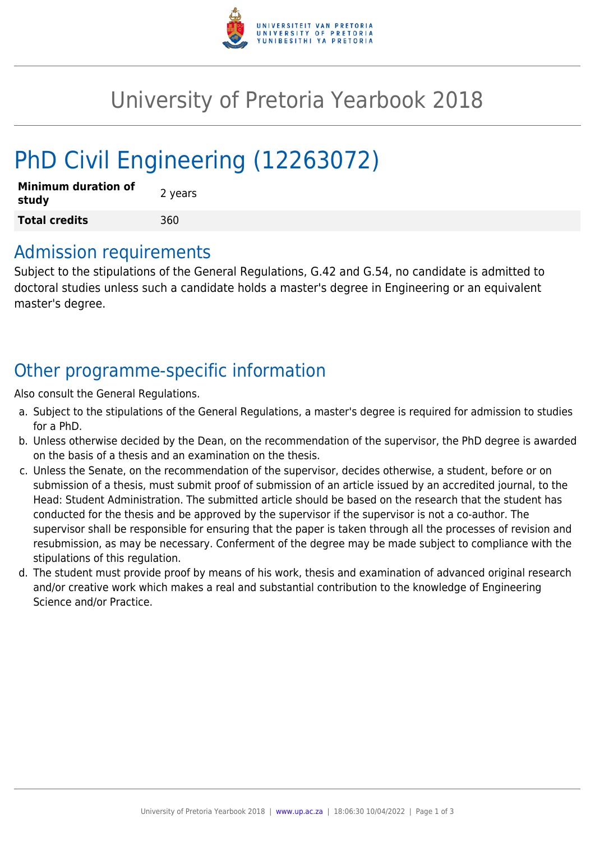

## University of Pretoria Yearbook 2018

# PhD Civil Engineering (12263072)

| <b>Minimum duration of</b><br>study | 2 years |
|-------------------------------------|---------|
| <b>Total credits</b>                | 360     |

#### Admission requirements

Subject to the stipulations of the General Regulations, G.42 and G.54, no candidate is admitted to doctoral studies unless such a candidate holds a master's degree in Engineering or an equivalent master's degree.

## Other programme-specific information

Also consult the General Regulations.

- a. Subject to the stipulations of the General Regulations, a master's degree is required for admission to studies for a PhD.
- b. Unless otherwise decided by the Dean, on the recommendation of the supervisor, the PhD degree is awarded on the basis of a thesis and an examination on the thesis.
- c. Unless the Senate, on the recommendation of the supervisor, decides otherwise, a student, before or on submission of a thesis, must submit proof of submission of an article issued by an accredited journal, to the Head: Student Administration. The submitted article should be based on the research that the student has conducted for the thesis and be approved by the supervisor if the supervisor is not a co-author. The supervisor shall be responsible for ensuring that the paper is taken through all the processes of revision and resubmission, as may be necessary. Conferment of the degree may be made subject to compliance with the stipulations of this regulation.
- d. The student must provide proof by means of his work, thesis and examination of advanced original research and/or creative work which makes a real and substantial contribution to the knowledge of Engineering Science and/or Practice.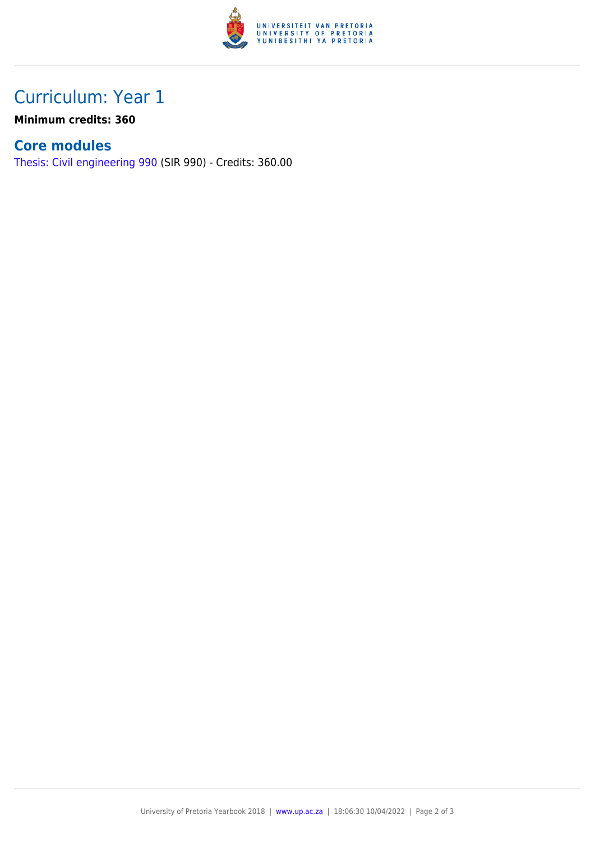

### Curriculum: Year 1

**Minimum credits: 360**

#### **Core modules**

[Thesis: Civil engineering 990](https://www.up.ac.za/faculty-of-education/yearbooks/2018/modules/view/SIR 990) (SIR 990) - Credits: 360.00